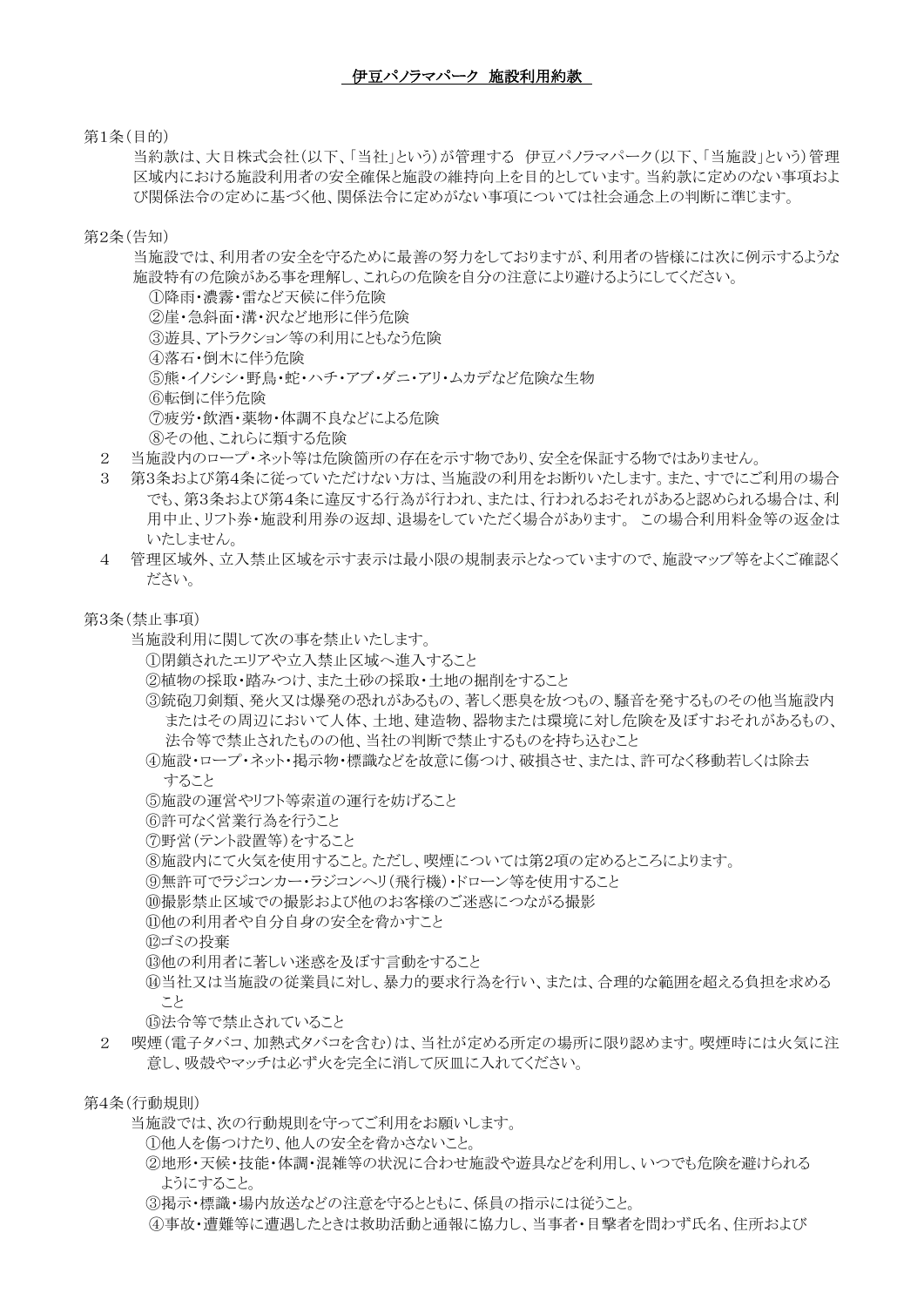第1条(目的)

当約款は、大日株式会社(以下、「当社」という)が管理する 伊豆パノラマパーク(以下、「当施設」という)管理 区域内における施設利用者の安全確保と施設の維持向上を目的としています。当約款に定めのない事項およ び関係法令の定めに基づく他、関係法令に定めがない事項については社会通念上の判断に準じます。

第2条(告知)

当施設では、利用者の安全を守るために最善の努力をしておりますが、利用者の皆様には次に例示するような 施設特有の危険がある事を理解し、これらの危険を自分の注意により避けるようにしてください。

①降雨・濃霧・雷など天候に伴う危険 ②崖・急斜面・溝・沢など地形に伴う危険 ③遊具、アトラクション等の利用にともなう危険 ④落石・倒木に伴う危険 ⑤熊・イノシシ・野鳥・蛇・ハチ・アブ・ダニ・アリ・ムカデなど危険な生物 ⑥転倒に伴う危険 ⑦疲労・飲酒・薬物・体調不良などによる危険 ⑧その他、これらに類する危険

- 2 当施設内のロープ・ネット等は危険箇所の存在を示す物であり、安全を保証する物ではありません。
- 3 第3条および第4条に従っていただけない方は、当施設の利用をお断りいたします。また、すでにご利用の場合 でも、第3条および第4条に違反する行為が行われ、または、行われるおそれがあると認められる場合は、利 用中止、リフト券・施設利用券の返却、退場をしていただく場合があります。 この場合利用料金等の返金は いたしません。
- 4 管理区域外、立入禁止区域を示す表示は最小限の規制表示となっていますので、施設マップ等をよくご確認く ださい。

第3条(禁止事項)

- 当施設利用に関して次の事を禁止いたします。
	- ①閉鎖されたエリアや立入禁止区域へ進入すること
	- ②植物の採取・踏みつけ、また土砂の採取・土地の掘削をすること
	- ③銃砲刀剣類、発火又は爆発の恐れがあるもの、著しく悪臭を放つもの、騒音を発するものその他当施設内 またはその周辺において人体、土地、建造物、器物または環境に対し危険を及ぼすおそれがあるもの、 法令等で禁止されたものの他、当社の判断で禁止するものを持ち込むこと
	- ④施設・ロープ・ネット・掲示物・標識などを故意に傷つけ、破損させ、または、許可なく移動若しくは除去 すること
	- ⑤施設の運営やリフト等索道の運行を妨げること
	- ⑥許可なく営業行為を行うこと
	- ⑦野営(テント設置等)をすること
	- ⑧施設内にて火気を使用すること。ただし、喫煙については第2項の定めるところによります。
	- ⑨無許可でラジコンカー・ラジコンヘリ(飛行機)・ドローン等を使用すること
	- ⑩撮影禁止区域での撮影および他のお客様のご迷惑につながる撮影
	- ⑪他の利用者や自分自身の安全を脅かすこと
	- ⑫ゴミの投棄
	- 13他の利用者に著しい米惑を及ぼす言動をすること
	- ⑭当社又は当施設の従業員に対し、暴力的要求行為を行い、または、合理的な範囲を超える負担を求める こと
	- ⑮法令等で禁止されていること
- 2 喫煙(電子タバコ、加熱式タバコを含む)は、当社が定める所定の場所に限り認めます。喫煙時には火気に注 意し、吸殻やマッチは必ず火を完全に消して灰皿に入れてください。

第4条(行動規則)

当施設では、次の行動規則を守ってご利用をお願いします。

- ①他人を傷つけたり、他人の安全を脅かさないこと。
- ②地形・天候・技能・体調・混雑等の状況に合わせ施設や遊具などを利用し、いつでも危険を避けられる ようにすること。
- ③掲示・標識・場内放送などの注意を守るとともに、係員の指示には従うこと。
- ④事故・遭難等に遭遇したときは救助活動と通報に協力し、当事者・目撃者を問わず氏名、住所および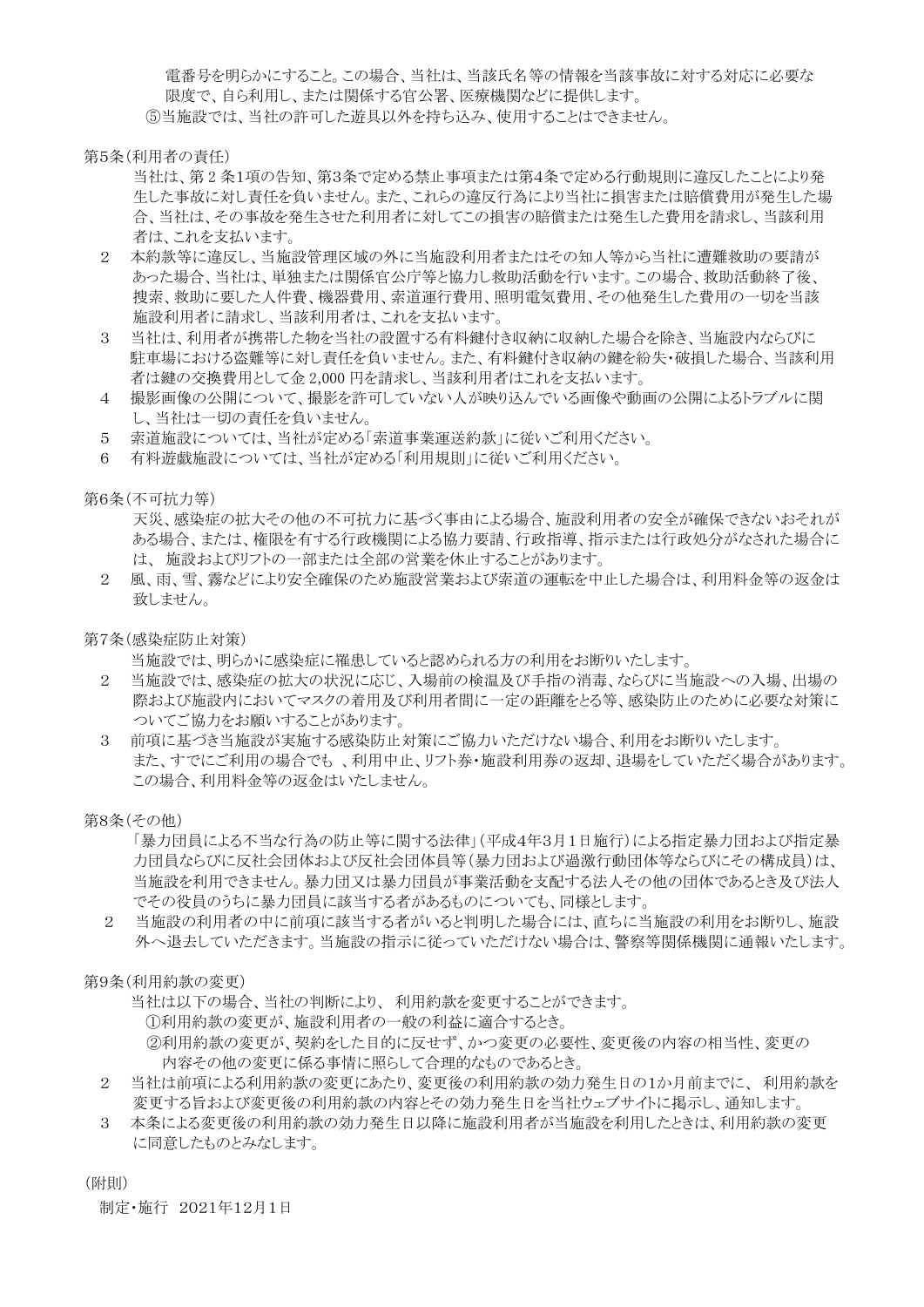電番号を明らかにすること。この場合、当社は、当該氏名等の情報を当該事故に対する対応に必要な 限度で、自ら利用し、または関係する官公署、医療機関などに提供します。 ⑤当施設では、当社の許可した遊具以外を持ち込み、使用することはできません。

第5条(利用者の責任)

当社は、第 2 条1項の告知、第3条で定める禁止事項または第4条で定める行動規則に違反したことにより発 生した事故に対し責任を負いません。また、これらの違反行為により当社に損害または賠償費用が発生した場 合、当社は、その事故を発生させた利用者に対してこの損害の賠償または発生した費用を請求し、当該利用 者は、これを支払います。

- 2 本約款等に違反し、当施設管理区域の外に当施設利用者またはその知人等から当社に遭難救助の要請が あった場合、当社は、単独または関係官公庁等と協力し救助活動を行います。この場合、救助活動終了後、 捜索、救助に要した人件費、機器費用、索道運行費用、照明電気費用、その他発生した費用の一切を当該 施設利用者に請求し、当該利用者は、これを支払います。
- 3 当社は、利用者が携帯した物を当社の設置する有料鍵付き収納に収納した場合を除き、当施設内ならびに 駐車場における盗難等に対し責任を負いません。また、有料鍵付き収納の鍵を紛失・破損した場合、当該利用 者は鍵の交換費用として金 2,000 円を請求し、当該利用者はこれを支払います。
- 4 撮影画像の公開について、撮影を許可していない人が映り込んでいる画像や動画の公開によるトラブルに関 し、当社は一切の責任を負いません。
- 5 索道施設については、当社が定める「索道事業運送約款」に従いご利用ください。
- 6 有料遊戯施設については、当社が定める「利用規則」に従いご利用ください。

第6条(不可抗力等)

天災、感染症の拡大その他の不可抗力に基づく事由による場合、施設利用者の安全が確保できないおそれが ある場合、または、権限を有する行政機関による協力要請、行政指導、指示または行政処分がなされた場合に は、 施設およびリフトの一部または全部の営業を休止することがあります。

2 風、雨、雪、霧などにより安全確保のため施設営業および索道の運転を中止した場合は、利用料金等の返金は 致しません。

第7条(感染症防止対策)

当施設では、明らかに感染症に罹患していると認められる方の利用をお断りいたします。

- 2 当施設では、感染症の拡大の状況に応じ、入場前の検温及び手指の消毒、ならびに当施設への入場、出場の 際および施設内においてマスクの着用及び利用者間に一定の距離をとる等、感染防止のために必要な対策に ついてご協力をお願いすることがあります。
- 3 前項に基づき当施設が実施する感染防止対策にご協力いただけない場合、利用をお断りいたします。 また、すでにご利用の場合でも 、利用中止、リフト券・施設利用券の返却、退場をしていただく場合があります。 この場合、利用料金等の返金はいたしません。

第8条(その他)

「暴力団員による不当な行為の防止等に関する法律」(平成4年3月1日施行)による指定暴力団および指定暴 力団員ならびに反社会団体および反社会団体員等(暴力団および過激行動団体等ならびにその構成員)は、 当施設を利用できません。暴力団又は暴力団員が事業活動を支配する法人その他の団体であるとき及び法人 でその役員のうちに暴力団員に該当する者があるものについても、同様とします。

2 当施設の利用者の中に前項に該当する者がいると判明した場合には、直ちに当施設の利用をお断りし、施設 外へ退去していただきます。当施設の指示に従っていただけない場合は、警察等関係機関に通報いたします。

第9条(利用約款の変更)

当社は以下の場合、当社の判断により、 利用約款を変更することができます。 ①利用約款の変更が、施設利用者の一般の利益に適合するとき。 ②利用約款の変更が、契約をした目的に反せず、かつ変更の必要性、変更後の内容の相当性、変更の 内容その他の変更に係る事情に照らして合理的なものであるとき。

- 2 当社は前項による利用約款の変更にあたり、変更後の利用約款の効力発生日の1か月前までに、 利用約款を 変更する旨および変更後の利用約款の内容とその効力発生日を当社ウェブサイトに掲示し、通知します。
- 3 本条による変更後の利用約款の効力発生日以降に施設利用者が当施設を利用したときは、利用約款の変更 に同意したものとみなします。

(附則)

制定・施行 2021年12月1日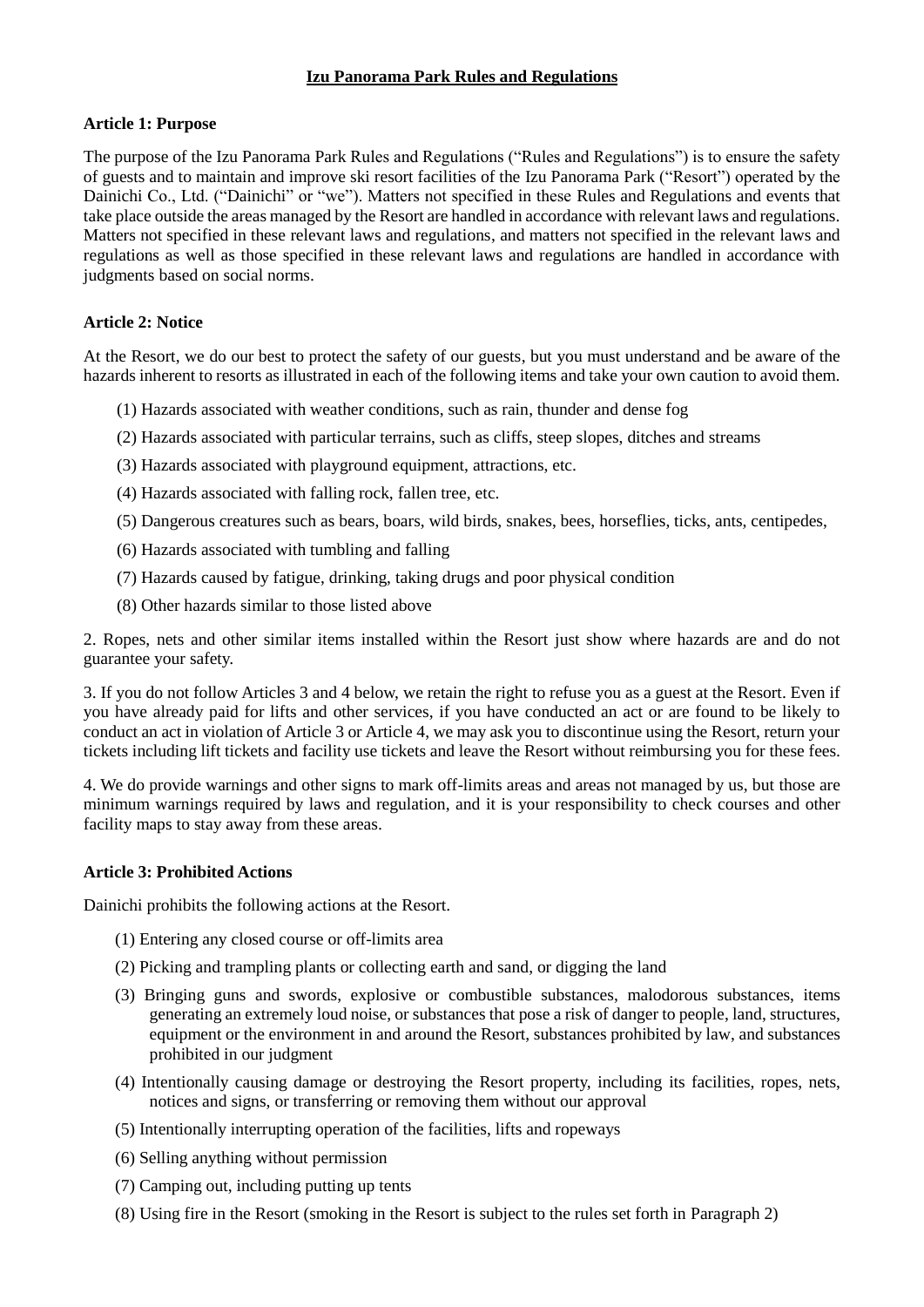# **Izu Panorama Park Rules and Regulations**

### **Article 1: Purpose**

The purpose of the Izu Panorama Park Rules and Regulations ("Rules and Regulations") is to ensure the safety of guests and to maintain and improve ski resort facilities of the Izu Panorama Park ("Resort") operated by the Dainichi Co., Ltd. ("Dainichi" or "we"). Matters not specified in these Rules and Regulations and events that take place outside the areas managed by the Resort are handled in accordance with relevant laws and regulations. Matters not specified in these relevant laws and regulations, and matters not specified in the relevant laws and regulations as well as those specified in these relevant laws and regulations are handled in accordance with judgments based on social norms.

### **Article 2: Notice**

At the Resort, we do our best to protect the safety of our guests, but you must understand and be aware of the hazards inherent to resorts as illustrated in each of the following items and take your own caution to avoid them.

- (1) Hazards associated with weather conditions, such as rain, thunder and dense fog
- (2) Hazards associated with particular terrains, such as cliffs, steep slopes, ditches and streams
- (3) Hazards associated with playground equipment, attractions, etc.
- (4) Hazards associated with falling rock, fallen tree, etc.
- (5) Dangerous creatures such as bears, boars, wild birds, snakes, bees, horseflies, ticks, ants, centipedes,
- (6) Hazards associated with tumbling and falling
- (7) Hazards caused by fatigue, drinking, taking drugs and poor physical condition
- (8) Other hazards similar to those listed above

2. Ropes, nets and other similar items installed within the Resort just show where hazards are and do not guarantee your safety.

3. If you do not follow Articles 3 and 4 below, we retain the right to refuse you as a guest at the Resort. Even if you have already paid for lifts and other services, if you have conducted an act or are found to be likely to conduct an act in violation of Article 3 or Article 4, we may ask you to discontinue using the Resort, return your tickets including lift tickets and facility use tickets and leave the Resort without reimbursing you for these fees.

4. We do provide warnings and other signs to mark off-limits areas and areas not managed by us, but those are minimum warnings required by laws and regulation, and it is your responsibility to check courses and other facility maps to stay away from these areas.

#### **Article 3: Prohibited Actions**

Dainichi prohibits the following actions at the Resort.

- (1) Entering any closed course or off-limits area
- (2) Picking and trampling plants or collecting earth and sand, or digging the land
- (3) Bringing guns and swords, explosive or combustible substances, malodorous substances, items generating an extremely loud noise, or substances that pose a risk of danger to people, land, structures, equipment or the environment in and around the Resort, substances prohibited by law, and substances prohibited in our judgment
- (4) Intentionally causing damage or destroying the Resort property, including its facilities, ropes, nets, notices and signs, or transferring or removing them without our approval
- (5) Intentionally interrupting operation of the facilities, lifts and ropeways
- (6) Selling anything without permission
- (7) Camping out, including putting up tents
- (8) Using fire in the Resort (smoking in the Resort is subject to the rules set forth in Paragraph 2)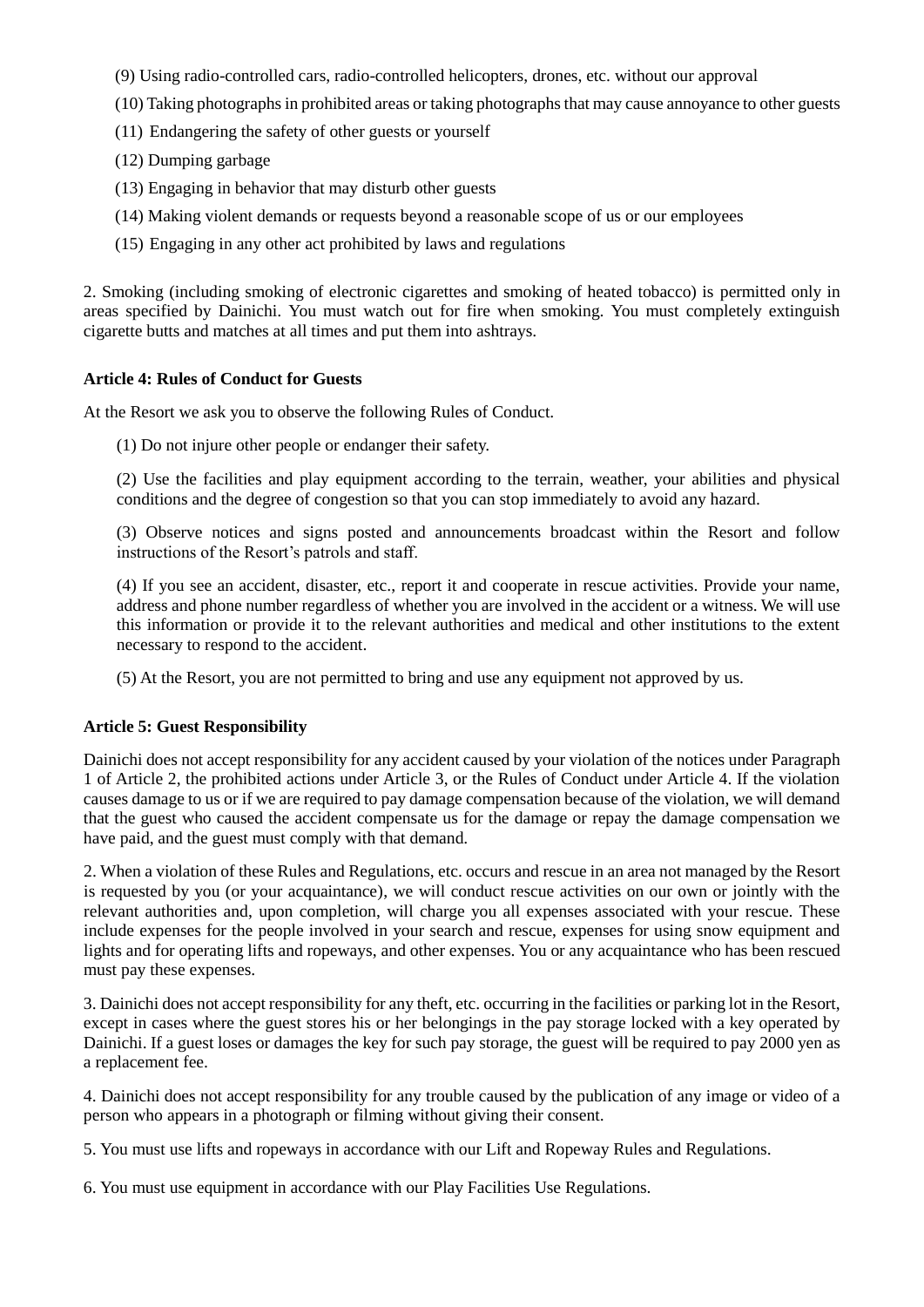(9) Using radio-controlled cars, radio-controlled helicopters, drones, etc. without our approval

- (10) Taking photographs in prohibited areas or taking photographs that may cause annoyance to other guests
- (11) Endangering the safety of other guests or yourself
- (12) Dumping garbage
- (13) Engaging in behavior that may disturb other guests
- (14) Making violent demands or requests beyond a reasonable scope of us or our employees
- (15) Engaging in any other act prohibited by laws and regulations

2. Smoking (including smoking of electronic cigarettes and smoking of heated tobacco) is permitted only in areas specified by Dainichi. You must watch out for fire when smoking. You must completely extinguish cigarette butts and matches at all times and put them into ashtrays.

### **Article 4: Rules of Conduct for Guests**

At the Resort we ask you to observe the following Rules of Conduct.

(1) Do not injure other people or endanger their safety.

(2) Use the facilities and play equipment according to the terrain, weather, your abilities and physical conditions and the degree of congestion so that you can stop immediately to avoid any hazard.

(3) Observe notices and signs posted and announcements broadcast within the Resort and follow instructions of the Resort's patrols and staff.

(4) If you see an accident, disaster, etc., report it and cooperate in rescue activities. Provide your name, address and phone number regardless of whether you are involved in the accident or a witness. We will use this information or provide it to the relevant authorities and medical and other institutions to the extent necessary to respond to the accident.

(5) At the Resort, you are not permitted to bring and use any equipment not approved by us.

### **Article 5: Guest Responsibility**

Dainichi does not accept responsibility for any accident caused by your violation of the notices under Paragraph 1 of Article 2, the prohibited actions under Article 3, or the Rules of Conduct under Article 4. If the violation causes damage to us or if we are required to pay damage compensation because of the violation, we will demand that the guest who caused the accident compensate us for the damage or repay the damage compensation we have paid, and the guest must comply with that demand.

2. When a violation of these Rules and Regulations, etc. occurs and rescue in an area not managed by the Resort is requested by you (or your acquaintance), we will conduct rescue activities on our own or jointly with the relevant authorities and, upon completion, will charge you all expenses associated with your rescue. These include expenses for the people involved in your search and rescue, expenses for using snow equipment and lights and for operating lifts and ropeways, and other expenses. You or any acquaintance who has been rescued must pay these expenses.

3. Dainichi does not accept responsibility for any theft, etc. occurring in the facilities or parking lot in the Resort, except in cases where the guest stores his or her belongings in the pay storage locked with a key operated by Dainichi. If a guest loses or damages the key for such pay storage, the guest will be required to pay 2000 yen as a replacement fee.

4. Dainichi does not accept responsibility for any trouble caused by the publication of any image or video of a person who appears in a photograph or filming without giving their consent.

5. You must use lifts and ropeways in accordance with our Lift and Ropeway Rules and Regulations.

6. You must use equipment in accordance with our Play Facilities Use Regulations.